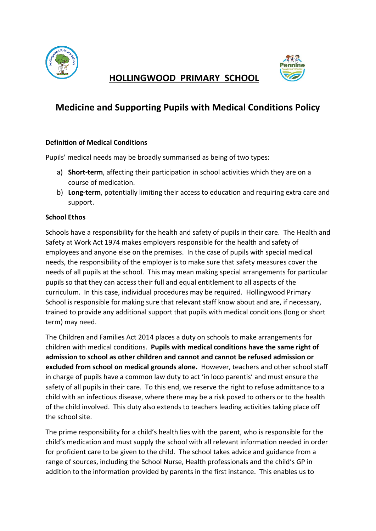



# **Medicine and Supporting Pupils with Medical Conditions Policy**

#### **Definition of Medical Conditions**

Pupils' medical needs may be broadly summarised as being of two types:

- a) **Short-term**, affecting their participation in school activities which they are on a course of medication.
- b) **Long-term**, potentially limiting their access to education and requiring extra care and support.

#### **School Ethos**

Schools have a responsibility for the health and safety of pupils in their care. The Health and Safety at Work Act 1974 makes employers responsible for the health and safety of employees and anyone else on the premises. In the case of pupils with special medical needs, the responsibility of the employer is to make sure that safety measures cover the needs of all pupils at the school. This may mean making special arrangements for particular pupils so that they can access their full and equal entitlement to all aspects of the curriculum. In this case, individual procedures may be required. Hollingwood Primary School is responsible for making sure that relevant staff know about and are, if necessary, trained to provide any additional support that pupils with medical conditions (long or short term) may need.

The Children and Families Act 2014 places a duty on schools to make arrangements for children with medical conditions. **Pupils with medical conditions have the same right of admission to school as other children and cannot and cannot be refused admission or excluded from school on medical grounds alone.** However, teachers and other school staff in charge of pupils have a common law duty to act 'in loco parentis' and must ensure the safety of all pupils in their care. To this end, we reserve the right to refuse admittance to a child with an infectious disease, where there may be a risk posed to others or to the health of the child involved. This duty also extends to teachers leading activities taking place off the school site.

The prime responsibility for a child's health lies with the parent, who is responsible for the child's medication and must supply the school with all relevant information needed in order for proficient care to be given to the child. The school takes advice and guidance from a range of sources, including the School Nurse, Health professionals and the child's GP in addition to the information provided by parents in the first instance. This enables us to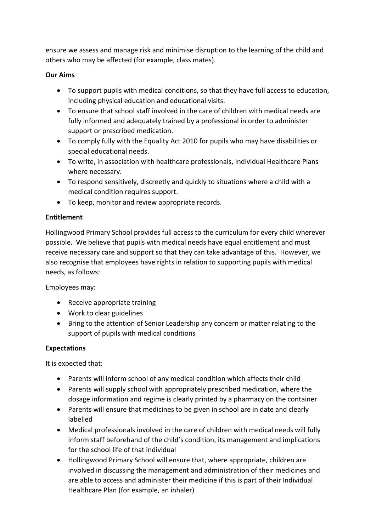ensure we assess and manage risk and minimise disruption to the learning of the child and others who may be affected (for example, class mates).

#### **Our Aims**

- To support pupils with medical conditions, so that they have full access to education, including physical education and educational visits.
- To ensure that school staff involved in the care of children with medical needs are fully informed and adequately trained by a professional in order to administer support or prescribed medication.
- To comply fully with the Equality Act 2010 for pupils who may have disabilities or special educational needs.
- To write, in association with healthcare professionals, Individual Healthcare Plans where necessary.
- To respond sensitively, discreetly and quickly to situations where a child with a medical condition requires support.
- To keep, monitor and review appropriate records.

#### **Entitlement**

Hollingwood Primary School provides full access to the curriculum for every child wherever possible. We believe that pupils with medical needs have equal entitlement and must receive necessary care and support so that they can take advantage of this. However, we also recognise that employees have rights in relation to supporting pupils with medical needs, as follows:

Employees may:

- Receive appropriate training
- Work to clear guidelines
- Bring to the attention of Senior Leadership any concern or matter relating to the support of pupils with medical conditions

#### **Expectations**

It is expected that:

- Parents will inform school of any medical condition which affects their child
- Parents will supply school with appropriately prescribed medication, where the dosage information and regime is clearly printed by a pharmacy on the container
- Parents will ensure that medicines to be given in school are in date and clearly labelled
- Medical professionals involved in the care of children with medical needs will fully inform staff beforehand of the child's condition, its management and implications for the school life of that individual
- Hollingwood Primary School will ensure that, where appropriate, children are involved in discussing the management and administration of their medicines and are able to access and administer their medicine if this is part of their Individual Healthcare Plan (for example, an inhaler)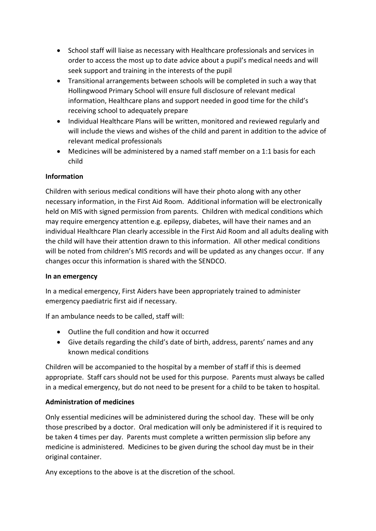- School staff will liaise as necessary with Healthcare professionals and services in order to access the most up to date advice about a pupil's medical needs and will seek support and training in the interests of the pupil
- Transitional arrangements between schools will be completed in such a way that Hollingwood Primary School will ensure full disclosure of relevant medical information, Healthcare plans and support needed in good time for the child's receiving school to adequately prepare
- Individual Healthcare Plans will be written, monitored and reviewed regularly and will include the views and wishes of the child and parent in addition to the advice of relevant medical professionals
- Medicines will be administered by a named staff member on a 1:1 basis for each child

### **Information**

Children with serious medical conditions will have their photo along with any other necessary information, in the First Aid Room. Additional information will be electronically held on MIS with signed permission from parents. Children with medical conditions which may require emergency attention e.g. epilepsy, diabetes, will have their names and an individual Healthcare Plan clearly accessible in the First Aid Room and all adults dealing with the child will have their attention drawn to this information. All other medical conditions will be noted from children's MIS records and will be updated as any changes occur. If any changes occur this information is shared with the SENDCO.

### **In an emergency**

In a medical emergency, First Aiders have been appropriately trained to administer emergency paediatric first aid if necessary.

If an ambulance needs to be called, staff will:

- Outline the full condition and how it occurred
- Give details regarding the child's date of birth, address, parents' names and any known medical conditions

Children will be accompanied to the hospital by a member of staff if this is deemed appropriate. Staff cars should not be used for this purpose. Parents must always be called in a medical emergency, but do not need to be present for a child to be taken to hospital.

### **Administration of medicines**

Only essential medicines will be administered during the school day. These will be only those prescribed by a doctor. Oral medication will only be administered if it is required to be taken 4 times per day. Parents must complete a written permission slip before any medicine is administered. Medicines to be given during the school day must be in their original container.

Any exceptions to the above is at the discretion of the school.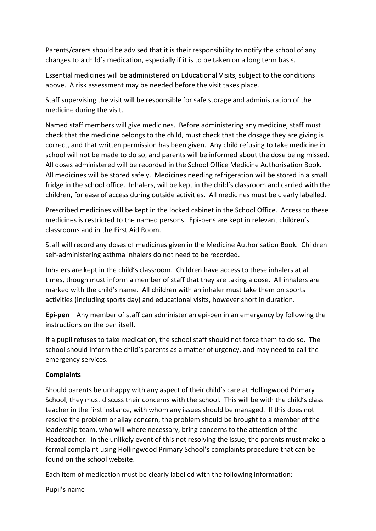Parents/carers should be advised that it is their responsibility to notify the school of any changes to a child's medication, especially if it is to be taken on a long term basis.

Essential medicines will be administered on Educational Visits, subject to the conditions above. A risk assessment may be needed before the visit takes place.

Staff supervising the visit will be responsible for safe storage and administration of the medicine during the visit.

Named staff members will give medicines. Before administering any medicine, staff must check that the medicine belongs to the child, must check that the dosage they are giving is correct, and that written permission has been given. Any child refusing to take medicine in school will not be made to do so, and parents will be informed about the dose being missed. All doses administered will be recorded in the School Office Medicine Authorisation Book. All medicines will be stored safely. Medicines needing refrigeration will be stored in a small fridge in the school office. Inhalers, will be kept in the child's classroom and carried with the children, for ease of access during outside activities. All medicines must be clearly labelled.

Prescribed medicines will be kept in the locked cabinet in the School Office. Access to these medicines is restricted to the named persons. Epi-pens are kept in relevant children's classrooms and in the First Aid Room.

Staff will record any doses of medicines given in the Medicine Authorisation Book. Children self-administering asthma inhalers do not need to be recorded.

Inhalers are kept in the child's classroom. Children have access to these inhalers at all times, though must inform a member of staff that they are taking a dose. All inhalers are marked with the child's name. All children with an inhaler must take them on sports activities (including sports day) and educational visits, however short in duration.

**Epi-pen** – Any member of staff can administer an epi-pen in an emergency by following the instructions on the pen itself.

If a pupil refuses to take medication, the school staff should not force them to do so. The school should inform the child's parents as a matter of urgency, and may need to call the emergency services.

### **Complaints**

Should parents be unhappy with any aspect of their child's care at Hollingwood Primary School, they must discuss their concerns with the school. This will be with the child's class teacher in the first instance, with whom any issues should be managed. If this does not resolve the problem or allay concern, the problem should be brought to a member of the leadership team, who will where necessary, bring concerns to the attention of the Headteacher. In the unlikely event of this not resolving the issue, the parents must make a formal complaint using Hollingwood Primary School's complaints procedure that can be found on the school website.

Each item of medication must be clearly labelled with the following information:

Pupil's name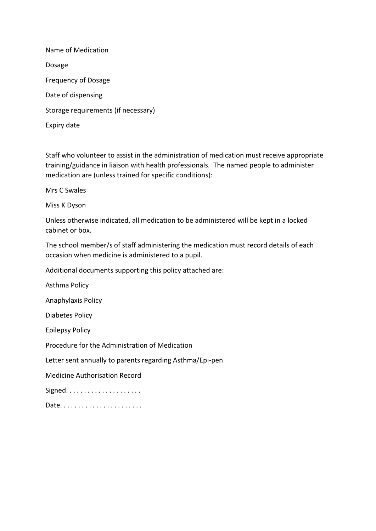Name of Medication Dosage Frequency of Dosage Date of dispensing Storage requirements (if necessary) Expiry date

Staff who volunteer to assist in the administration of medication must receive appropriate training/guidance in liaison with health professionals. The named people to administer medication are (unless trained for specific conditions):

Mrs C Swales

Miss K Dyson

Unless otherwise indicated, all medication to be administered will be kept in a locked cabinet or box.

The school member/s of staff administering the medication must record details of each occasion when medicine is administered to a pupil.

Additional documents supporting this policy attached are:

Asthma Policy

Anaphylaxis Policy

Diabetes Policy

Epilepsy Policy

Procedure for the Administration of Medication

Letter sent annually to parents regarding Asthma/Epi-pen

Medicine Authorisation Record

Signed. . . . . . . . . . . . . . . . . . . . .

Date. . . . . . . . . . . . . . . . . . . . . . .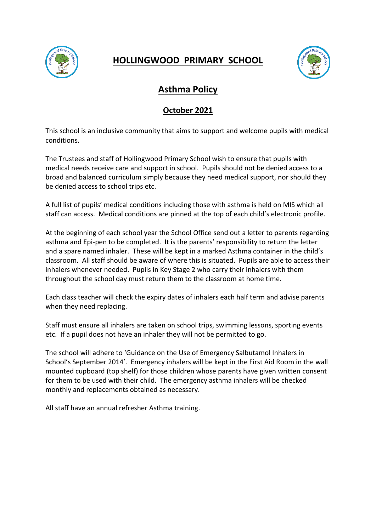



## **Asthma Policy**

### **October 2021**

This school is an inclusive community that aims to support and welcome pupils with medical conditions.

The Trustees and staff of Hollingwood Primary School wish to ensure that pupils with medical needs receive care and support in school. Pupils should not be denied access to a broad and balanced curriculum simply because they need medical support, nor should they be denied access to school trips etc.

A full list of pupils' medical conditions including those with asthma is held on MIS which all staff can access. Medical conditions are pinned at the top of each child's electronic profile.

At the beginning of each school year the School Office send out a letter to parents regarding asthma and Epi-pen to be completed. It is the parents' responsibility to return the letter and a spare named inhaler. These will be kept in a marked Asthma container in the child's classroom. All staff should be aware of where this is situated. Pupils are able to access their inhalers whenever needed. Pupils in Key Stage 2 who carry their inhalers with them throughout the school day must return them to the classroom at home time.

Each class teacher will check the expiry dates of inhalers each half term and advise parents when they need replacing.

Staff must ensure all inhalers are taken on school trips, swimming lessons, sporting events etc. If a pupil does not have an inhaler they will not be permitted to go.

The school will adhere to 'Guidance on the Use of Emergency Salbutamol Inhalers in School's September 2014'. Emergency inhalers will be kept in the First Aid Room in the wall mounted cupboard (top shelf) for those children whose parents have given written consent for them to be used with their child. The emergency asthma inhalers will be checked monthly and replacements obtained as necessary.

All staff have an annual refresher Asthma training.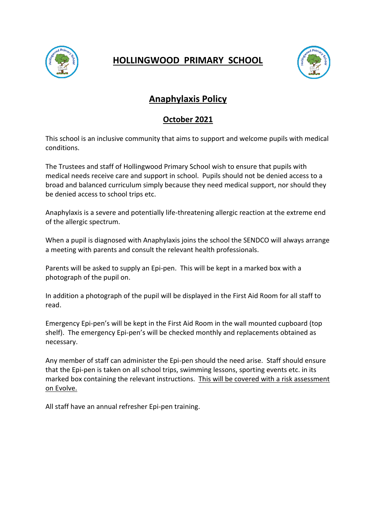



# **Anaphylaxis Policy**

### **October 2021**

This school is an inclusive community that aims to support and welcome pupils with medical conditions.

The Trustees and staff of Hollingwood Primary School wish to ensure that pupils with medical needs receive care and support in school. Pupils should not be denied access to a broad and balanced curriculum simply because they need medical support, nor should they be denied access to school trips etc.

Anaphylaxis is a severe and potentially life-threatening allergic reaction at the extreme end of the allergic spectrum.

When a pupil is diagnosed with Anaphylaxis joins the school the SENDCO will always arrange a meeting with parents and consult the relevant health professionals.

Parents will be asked to supply an Epi-pen. This will be kept in a marked box with a photograph of the pupil on.

In addition a photograph of the pupil will be displayed in the First Aid Room for all staff to read.

Emergency Epi-pen's will be kept in the First Aid Room in the wall mounted cupboard (top shelf). The emergency Epi-pen's will be checked monthly and replacements obtained as necessary.

Any member of staff can administer the Epi-pen should the need arise. Staff should ensure that the Epi-pen is taken on all school trips, swimming lessons, sporting events etc. in its marked box containing the relevant instructions. This will be covered with a risk assessment on Evolve.

All staff have an annual refresher Epi-pen training.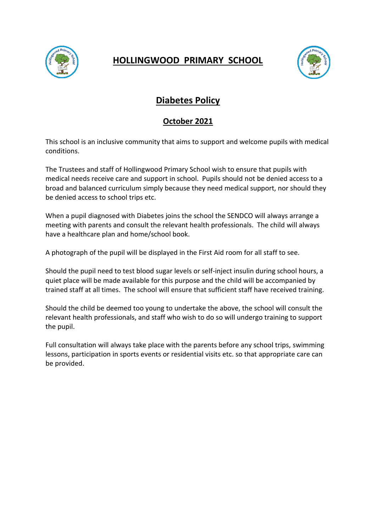



# **Diabetes Policy**

### **October 2021**

This school is an inclusive community that aims to support and welcome pupils with medical conditions.

The Trustees and staff of Hollingwood Primary School wish to ensure that pupils with medical needs receive care and support in school. Pupils should not be denied access to a broad and balanced curriculum simply because they need medical support, nor should they be denied access to school trips etc.

When a pupil diagnosed with Diabetes joins the school the SENDCO will always arrange a meeting with parents and consult the relevant health professionals. The child will always have a healthcare plan and home/school book.

A photograph of the pupil will be displayed in the First Aid room for all staff to see.

Should the pupil need to test blood sugar levels or self-inject insulin during school hours, a quiet place will be made available for this purpose and the child will be accompanied by trained staff at all times. The school will ensure that sufficient staff have received training.

Should the child be deemed too young to undertake the above, the school will consult the relevant health professionals, and staff who wish to do so will undergo training to support the pupil.

Full consultation will always take place with the parents before any school trips, swimming lessons, participation in sports events or residential visits etc. so that appropriate care can be provided.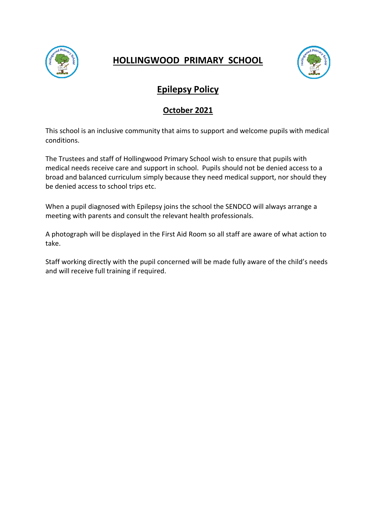



## **Epilepsy Policy**

### **October 2021**

This school is an inclusive community that aims to support and welcome pupils with medical conditions.

The Trustees and staff of Hollingwood Primary School wish to ensure that pupils with medical needs receive care and support in school. Pupils should not be denied access to a broad and balanced curriculum simply because they need medical support, nor should they be denied access to school trips etc.

When a pupil diagnosed with Epilepsy joins the school the SENDCO will always arrange a meeting with parents and consult the relevant health professionals.

A photograph will be displayed in the First Aid Room so all staff are aware of what action to take.

Staff working directly with the pupil concerned will be made fully aware of the child's needs and will receive full training if required.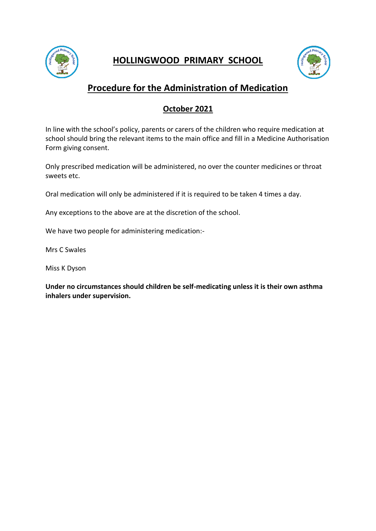



# **Procedure for the Administration of Medication**

### **October 2021**

In line with the school's policy, parents or carers of the children who require medication at school should bring the relevant items to the main office and fill in a Medicine Authorisation Form giving consent.

Only prescribed medication will be administered, no over the counter medicines or throat sweets etc.

Oral medication will only be administered if it is required to be taken 4 times a day.

Any exceptions to the above are at the discretion of the school.

We have two people for administering medication:-

Mrs C Swales

Miss K Dyson

**Under no circumstances should children be self-medicating unless it is their own asthma inhalers under supervision.**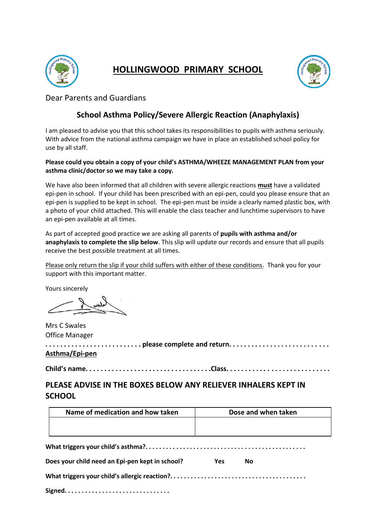



Dear Parents and Guardians

### **School Asthma Policy/Severe Allergic Reaction (Anaphylaxis)**

I am pleased to advise you that this school takes its responsibilities to pupils with asthma seriously. With advice from the national asthma campaign we have in place an established school policy for use by all staff.

#### **Please could you obtain a copy of your child's ASTHMA/WHEEZE MANAGEMENT PLAN from your asthma clinic/doctor so we may take a copy.**

We have also been informed that all children with severe allergic reactions **must** have a validated epi-pen in school. If your child has been prescribed with an epi-pen, could you please ensure that an epi-pen is supplied to be kept in school. The epi-pen must be inside a clearly named plastic box, with a photo of your child attached. This will enable the class teacher and lunchtime supervisors to have an epi-pen available at all times.

As part of accepted good practice we are asking all parents of **pupils with asthma and/or anaphylaxis to complete the slip below**. This slip will update our records and ensure that all pupils receive the best possible treatment at all times.

Please only return the slip if your child suffers with either of these conditions. Thank you for your support with this important matter.

Yours sincerely

Mrs C Swales Office Manager

**. . . . . . . . . . . . . . . . . . . . . . . . . . please complete and return. . . . . . . . . . . . . . . . . . . . . . . . . . . Asthma/Epi-pen**

**Child's name. . . . . . . . . . . . . . . . . . . . . . . . . . . . . . . . . .Class. . . . . . . . . . . . . . . . . . . . . . . . . . . .**

**PLEASE ADVISE IN THE BOXES BELOW ANY RELIEVER INHALERS KEPT IN SCHOOL** 

| Name of medication and how taken                | Dose and when taken |  |
|-------------------------------------------------|---------------------|--|
|                                                 |                     |  |
|                                                 |                     |  |
|                                                 |                     |  |
| Does your child need an Epi-pen kept in school? | Yes<br>Nο           |  |

**What triggers your child's allergic reaction?. . . . . . . . . . . . . . . . . . . . . . . . . . . . . . . . . . . . . . . .**

**Signed. . . . . . . . . . . . . . . . . . . . . . . . . . . . . . .**